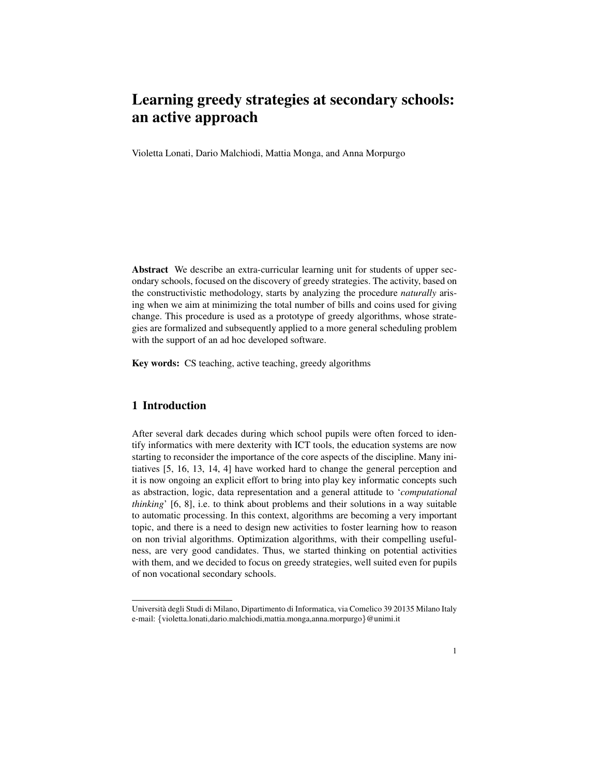# Learning greedy strategies at secondary schools: an active approach

Violetta Lonati, Dario Malchiodi, Mattia Monga, and Anna Morpurgo

Abstract We describe an extra-curricular learning unit for students of upper secondary schools, focused on the discovery of greedy strategies. The activity, based on the constructivistic methodology, starts by analyzing the procedure *naturally* arising when we aim at minimizing the total number of bills and coins used for giving change. This procedure is used as a prototype of greedy algorithms, whose strategies are formalized and subsequently applied to a more general scheduling problem with the support of an ad hoc developed software.

Key words: CS teaching, active teaching, greedy algorithms

# 1 Introduction

After several dark decades during which school pupils were often forced to identify informatics with mere dexterity with ICT tools, the education systems are now starting to reconsider the importance of the core aspects of the discipline. Many initiatives [5, 16, 13, 14, 4] have worked hard to change the general perception and it is now ongoing an explicit effort to bring into play key informatic concepts such as abstraction, logic, data representation and a general attitude to '*computational thinking*' [6, 8], i.e. to think about problems and their solutions in a way suitable to automatic processing. In this context, algorithms are becoming a very important topic, and there is a need to design new activities to foster learning how to reason on non trivial algorithms. Optimization algorithms, with their compelling usefulness, are very good candidates. Thus, we started thinking on potential activities with them, and we decided to focus on greedy strategies, well suited even for pupils of non vocational secondary schools.

Universita degli Studi di Milano, Dipartimento di Informatica, via Comelico 39 20135 Milano Italy ` e-mail: {violetta.lonati,dario.malchiodi,mattia.monga,anna.morpurgo}@unimi.it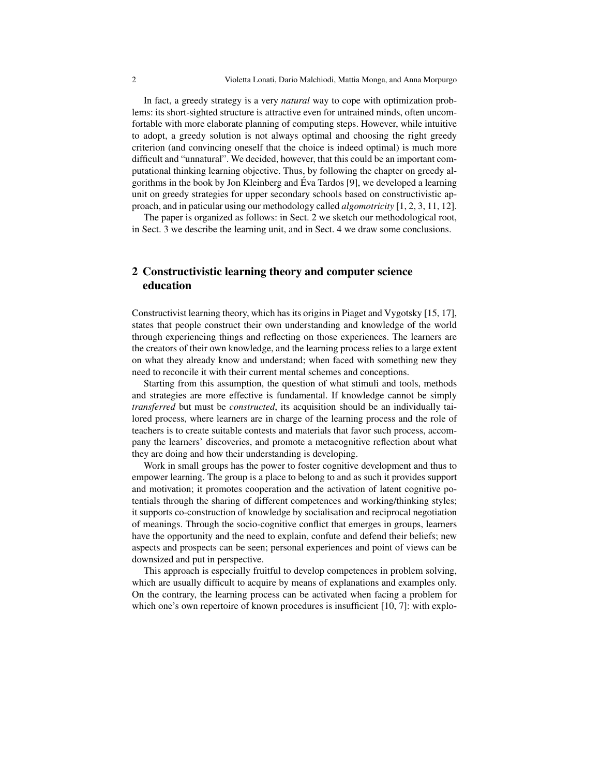In fact, a greedy strategy is a very *natural* way to cope with optimization problems: its short-sighted structure is attractive even for untrained minds, often uncomfortable with more elaborate planning of computing steps. However, while intuitive to adopt, a greedy solution is not always optimal and choosing the right greedy criterion (and convincing oneself that the choice is indeed optimal) is much more difficult and "unnatural". We decided, however, that this could be an important computational thinking learning objective. Thus, by following the chapter on greedy algorithms in the book by Jon Kleinberg and Eva Tardos [9], we developed a learning ´ unit on greedy strategies for upper secondary schools based on constructivistic approach, and in paticular using our methodology called *algomotricity* [1, 2, 3, 11, 12].

The paper is organized as follows: in Sect. 2 we sketch our methodological root, in Sect. 3 we describe the learning unit, and in Sect. 4 we draw some conclusions.

# 2 Constructivistic learning theory and computer science education

Constructivist learning theory, which has its origins in Piaget and Vygotsky [15, 17], states that people construct their own understanding and knowledge of the world through experiencing things and reflecting on those experiences. The learners are the creators of their own knowledge, and the learning process relies to a large extent on what they already know and understand; when faced with something new they need to reconcile it with their current mental schemes and conceptions.

Starting from this assumption, the question of what stimuli and tools, methods and strategies are more effective is fundamental. If knowledge cannot be simply *transferred* but must be *constructed*, its acquisition should be an individually tailored process, where learners are in charge of the learning process and the role of teachers is to create suitable contests and materials that favor such process, accompany the learners' discoveries, and promote a metacognitive reflection about what they are doing and how their understanding is developing.

Work in small groups has the power to foster cognitive development and thus to empower learning. The group is a place to belong to and as such it provides support and motivation; it promotes cooperation and the activation of latent cognitive potentials through the sharing of different competences and working/thinking styles; it supports co-construction of knowledge by socialisation and reciprocal negotiation of meanings. Through the socio-cognitive conflict that emerges in groups, learners have the opportunity and the need to explain, confute and defend their beliefs; new aspects and prospects can be seen; personal experiences and point of views can be downsized and put in perspective.

This approach is especially fruitful to develop competences in problem solving, which are usually difficult to acquire by means of explanations and examples only. On the contrary, the learning process can be activated when facing a problem for which one's own repertoire of known procedures is insufficient [10, 7]: with explo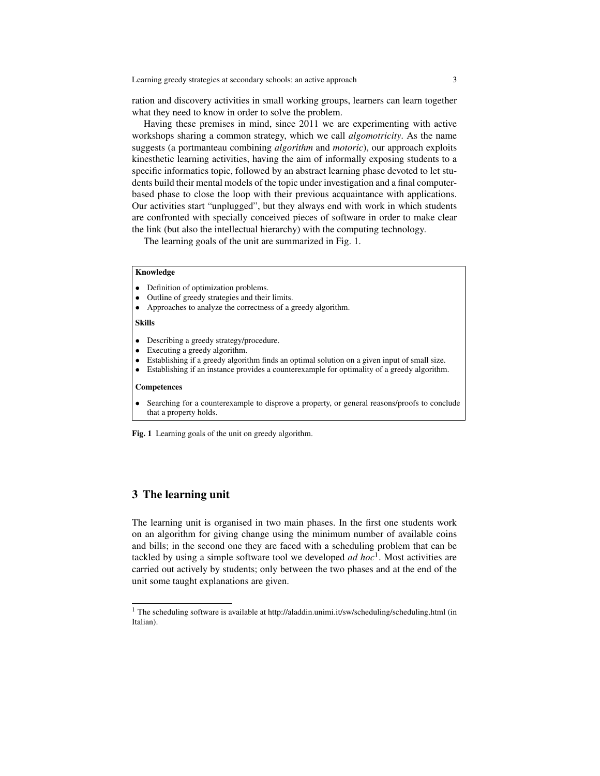ration and discovery activities in small working groups, learners can learn together what they need to know in order to solve the problem.

Having these premises in mind, since 2011 we are experimenting with active workshops sharing a common strategy, which we call *algomotricity*. As the name suggests (a portmanteau combining *algorithm* and *motoric*), our approach exploits kinesthetic learning activities, having the aim of informally exposing students to a specific informatics topic, followed by an abstract learning phase devoted to let students build their mental models of the topic under investigation and a final computerbased phase to close the loop with their previous acquaintance with applications. Our activities start "unplugged", but they always end with work in which students are confronted with specially conceived pieces of software in order to make clear the link (but also the intellectual hierarchy) with the computing technology.

The learning goals of the unit are summarized in Fig. 1.

#### Knowledge

- Definition of optimization problems.
- Outline of greedy strategies and their limits.
- Approaches to analyze the correctness of a greedy algorithm.

#### Skills

- Describing a greedy strategy/procedure.
- Executing a greedy algorithm.
- Establishing if a greedy algorithm finds an optimal solution on a given input of small size.
- Establishing if an instance provides a counterexample for optimality of a greedy algorithm.

#### **Competences**

Searching for a counterexample to disprove a property, or general reasons/proofs to conclude that a property holds.

Fig. 1 Learning goals of the unit on greedy algorithm.

### 3 The learning unit

The learning unit is organised in two main phases. In the first one students work on an algorithm for giving change using the minimum number of available coins and bills; in the second one they are faced with a scheduling problem that can be tackled by using a simple software tool we developed *ad hoc*<sup>1</sup> . Most activities are carried out actively by students; only between the two phases and at the end of the unit some taught explanations are given.

<sup>&</sup>lt;sup>1</sup> The scheduling software is available at http://aladdin.unimi.it/sw/scheduling/scheduling.html (in Italian).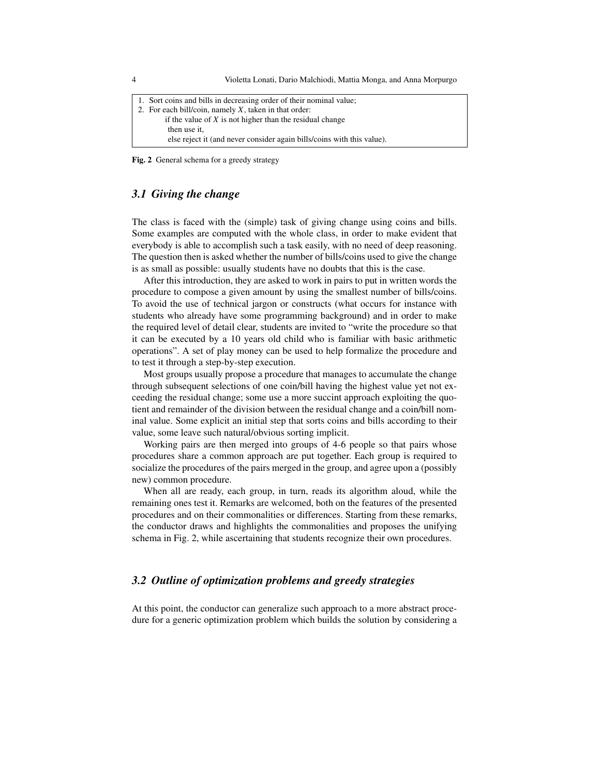| 1. Sort coins and bills in decreasing order of their nominal value;    |  |  |  |  |
|------------------------------------------------------------------------|--|--|--|--|
| 2. For each bill/coin, namely $X$ , taken in that order:               |  |  |  |  |
| if the value of $X$ is not higher than the residual change             |  |  |  |  |
| then use it.                                                           |  |  |  |  |
| else reject it (and never consider again bills/coins with this value). |  |  |  |  |

Fig. 2 General schema for a greedy strategy

# *3.1 Giving the change*

The class is faced with the (simple) task of giving change using coins and bills. Some examples are computed with the whole class, in order to make evident that everybody is able to accomplish such a task easily, with no need of deep reasoning. The question then is asked whether the number of bills/coins used to give the change is as small as possible: usually students have no doubts that this is the case.

After this introduction, they are asked to work in pairs to put in written words the procedure to compose a given amount by using the smallest number of bills/coins. To avoid the use of technical jargon or constructs (what occurs for instance with students who already have some programming background) and in order to make the required level of detail clear, students are invited to "write the procedure so that it can be executed by a 10 years old child who is familiar with basic arithmetic operations". A set of play money can be used to help formalize the procedure and to test it through a step-by-step execution.

Most groups usually propose a procedure that manages to accumulate the change through subsequent selections of one coin/bill having the highest value yet not exceeding the residual change; some use a more succint approach exploiting the quotient and remainder of the division between the residual change and a coin/bill nominal value. Some explicit an initial step that sorts coins and bills according to their value, some leave such natural/obvious sorting implicit.

Working pairs are then merged into groups of 4-6 people so that pairs whose procedures share a common approach are put together. Each group is required to socialize the procedures of the pairs merged in the group, and agree upon a (possibly new) common procedure.

When all are ready, each group, in turn, reads its algorithm aloud, while the remaining ones test it. Remarks are welcomed, both on the features of the presented procedures and on their commonalities or differences. Starting from these remarks, the conductor draws and highlights the commonalities and proposes the unifying schema in Fig. 2, while ascertaining that students recognize their own procedures.

## *3.2 Outline of optimization problems and greedy strategies*

At this point, the conductor can generalize such approach to a more abstract procedure for a generic optimization problem which builds the solution by considering a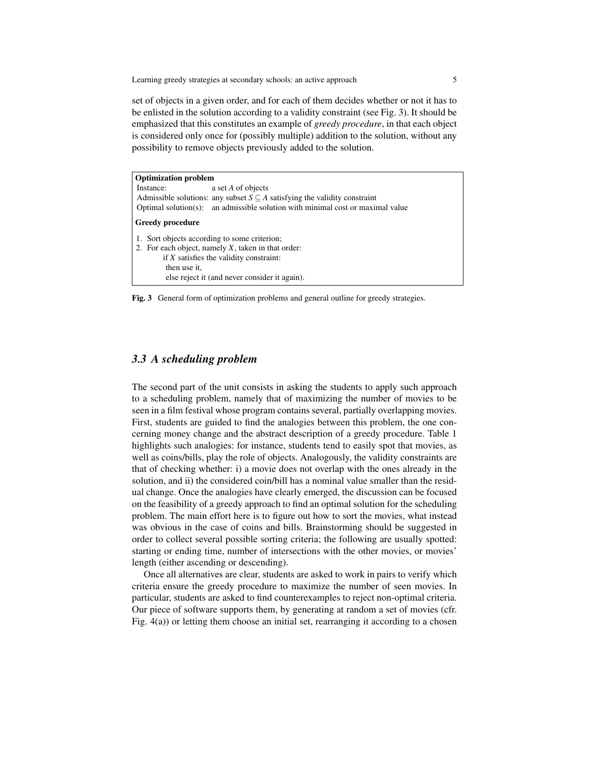Learning greedy strategies at secondary schools: an active approach 5

set of objects in a given order, and for each of them decides whether or not it has to be enlisted in the solution according to a validity constraint (see Fig. 3). It should be emphasized that this constitutes an example of *greedy procedure*, in that each object is considered only once for (possibly multiple) addition to the solution, without any possibility to remove objects previously added to the solution.

| <b>Optimization problem</b>                                                         |                                               |  |  |  |  |  |  |  |
|-------------------------------------------------------------------------------------|-----------------------------------------------|--|--|--|--|--|--|--|
| Instance:                                                                           | a set A of objects                            |  |  |  |  |  |  |  |
| Admissible solutions: any subset $S \subseteq A$ satisfying the validity constraint |                                               |  |  |  |  |  |  |  |
| Optimal solution(s): an admissible solution with minimal cost or maximal value      |                                               |  |  |  |  |  |  |  |
| Greedy procedure                                                                    |                                               |  |  |  |  |  |  |  |
| 1. Sort objects according to some criterion;                                        |                                               |  |  |  |  |  |  |  |
| 2. For each object, namely $X$ , taken in that order:                               |                                               |  |  |  |  |  |  |  |
| if $X$ satisfies the validity constraint:                                           |                                               |  |  |  |  |  |  |  |
| then use it.                                                                        |                                               |  |  |  |  |  |  |  |
|                                                                                     | else reject it (and never consider it again). |  |  |  |  |  |  |  |
|                                                                                     |                                               |  |  |  |  |  |  |  |

Fig. 3 General form of optimization problems and general outline for greedy strategies.

#### *3.3 A scheduling problem*

The second part of the unit consists in asking the students to apply such approach to a scheduling problem, namely that of maximizing the number of movies to be seen in a film festival whose program contains several, partially overlapping movies. First, students are guided to find the analogies between this problem, the one concerning money change and the abstract description of a greedy procedure. Table 1 highlights such analogies: for instance, students tend to easily spot that movies, as well as coins/bills, play the role of objects. Analogously, the validity constraints are that of checking whether: i) a movie does not overlap with the ones already in the solution, and ii) the considered coin/bill has a nominal value smaller than the residual change. Once the analogies have clearly emerged, the discussion can be focused on the feasibility of a greedy approach to find an optimal solution for the scheduling problem. The main effort here is to figure out how to sort the movies, what instead was obvious in the case of coins and bills. Brainstorming should be suggested in order to collect several possible sorting criteria; the following are usually spotted: starting or ending time, number of intersections with the other movies, or movies' length (either ascending or descending).

Once all alternatives are clear, students are asked to work in pairs to verify which criteria ensure the greedy procedure to maximize the number of seen movies. In particular, students are asked to find counterexamples to reject non-optimal criteria. Our piece of software supports them, by generating at random a set of movies (cfr. Fig. 4(a)) or letting them choose an initial set, rearranging it according to a chosen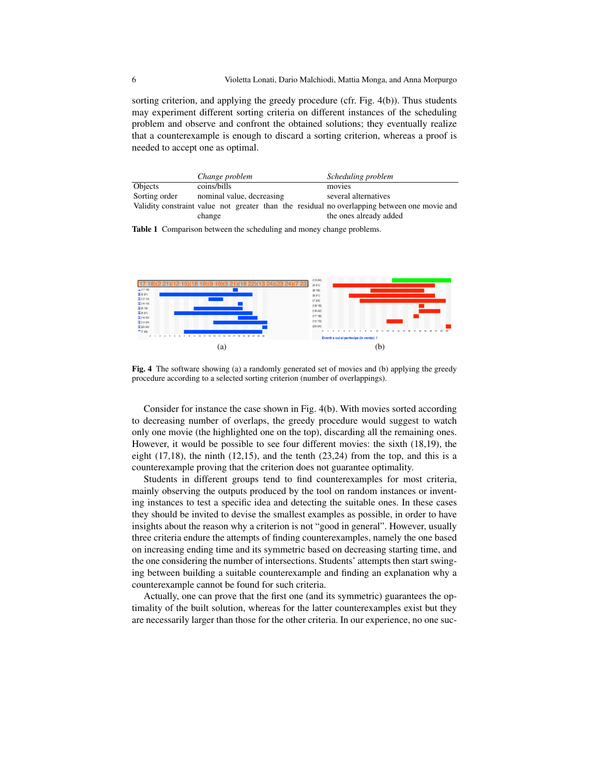sorting criterion, and applying the greedy procedure (cfr. Fig. 4(b)). Thus students may experiment different sorting criteria on different instances of the scheduling problem and observe and confront the obtained solutions; they eventually realize that a counterexample is enough to discard a sorting criterion, whereas a proof is needed to accept one as optimal.

|               | Change problem            |  |  |  |  | Scheduling problem                                                                           |
|---------------|---------------------------|--|--|--|--|----------------------------------------------------------------------------------------------|
| Objects       | coins/bills               |  |  |  |  | movies                                                                                       |
| Sorting order | nominal value, decreasing |  |  |  |  | several alternatives                                                                         |
|               |                           |  |  |  |  | Validity constraint value not greater than the residual no overlapping between one movie and |
|               | change                    |  |  |  |  | the ones already added                                                                       |

Table 1 Comparison between the scheduling and money change problems.



Fig. 4 The software showing (a) a randomly generated set of movies and (b) applying the greedy procedure according to a selected sorting criterion (number of overlappings).

Consider for instance the case shown in Fig. 4(b). With movies sorted according to decreasing number of overlaps, the greedy procedure would suggest to watch only one movie (the highlighted one on the top), discarding all the remaining ones. However, it would be possible to see four different movies: the sixth (18,19), the eight  $(17,18)$ , the ninth  $(12,15)$ , and the tenth  $(23,24)$  from the top, and this is a counterexample proving that the criterion does not guarantee optimality.

Students in different groups tend to find counterexamples for most criteria, mainly observing the outputs produced by the tool on random instances or inventing instances to test a specific idea and detecting the suitable ones. In these cases they should be invited to devise the smallest examples as possible, in order to have insights about the reason why a criterion is not "good in general". However, usually three criteria endure the attempts of finding counterexamples, namely the one based on increasing ending time and its symmetric based on decreasing starting time, and the one considering the number of intersections. Students' attempts then start swinging between building a suitable counterexample and finding an explanation why a counterexample cannot be found for such criteria.

Actually, one can prove that the first one (and its symmetric) guarantees the optimality of the built solution, whereas for the latter counterexamples exist but they are necessarily larger than those for the other criteria. In our experience, no one suc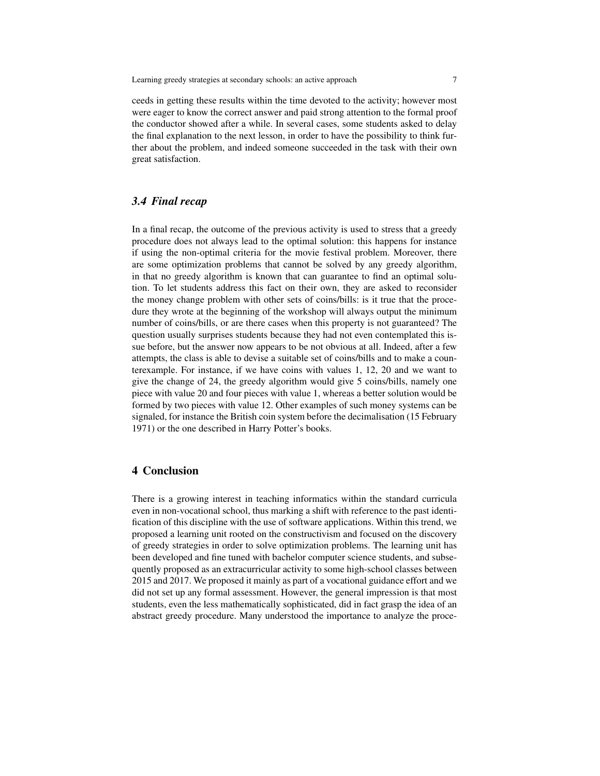ceeds in getting these results within the time devoted to the activity; however most were eager to know the correct answer and paid strong attention to the formal proof the conductor showed after a while. In several cases, some students asked to delay the final explanation to the next lesson, in order to have the possibility to think further about the problem, and indeed someone succeeded in the task with their own great satisfaction.

## *3.4 Final recap*

In a final recap, the outcome of the previous activity is used to stress that a greedy procedure does not always lead to the optimal solution: this happens for instance if using the non-optimal criteria for the movie festival problem. Moreover, there are some optimization problems that cannot be solved by any greedy algorithm, in that no greedy algorithm is known that can guarantee to find an optimal solution. To let students address this fact on their own, they are asked to reconsider the money change problem with other sets of coins/bills: is it true that the procedure they wrote at the beginning of the workshop will always output the minimum number of coins/bills, or are there cases when this property is not guaranteed? The question usually surprises students because they had not even contemplated this issue before, but the answer now appears to be not obvious at all. Indeed, after a few attempts, the class is able to devise a suitable set of coins/bills and to make a counterexample. For instance, if we have coins with values 1, 12, 20 and we want to give the change of 24, the greedy algorithm would give 5 coins/bills, namely one piece with value 20 and four pieces with value 1, whereas a better solution would be formed by two pieces with value 12. Other examples of such money systems can be signaled, for instance the British coin system before the decimalisation (15 February 1971) or the one described in Harry Potter's books.

#### 4 Conclusion

There is a growing interest in teaching informatics within the standard curricula even in non-vocational school, thus marking a shift with reference to the past identification of this discipline with the use of software applications. Within this trend, we proposed a learning unit rooted on the constructivism and focused on the discovery of greedy strategies in order to solve optimization problems. The learning unit has been developed and fine tuned with bachelor computer science students, and subsequently proposed as an extracurricular activity to some high-school classes between 2015 and 2017. We proposed it mainly as part of a vocational guidance effort and we did not set up any formal assessment. However, the general impression is that most students, even the less mathematically sophisticated, did in fact grasp the idea of an abstract greedy procedure. Many understood the importance to analyze the proce